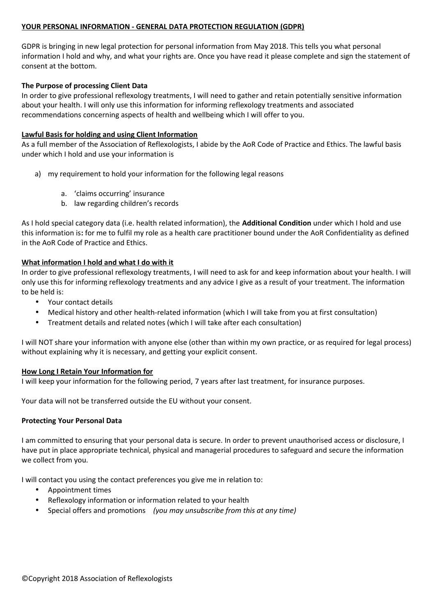#### **YOUR PERSONAL INFORMATION - GENERAL DATA PROTECTION REGULATION (GDPR)**

GDPR is bringing in new legal protection for personal information from May 2018. This tells you what personal information I hold and why, and what your rights are. Once you have read it please complete and sign the statement of consent at the bottom.

### **The Purpose of processing Client Data**

In order to give professional reflexology treatments, I will need to gather and retain potentially sensitive information about your health. I will only use this information for informing reflexology treatments and associated recommendations concerning aspects of health and wellbeing which I will offer to you.

### **Lawful Basis for holding and using Client Information**

As a full member of the Association of Reflexologists, I abide by the AoR Code of Practice and Ethics. The lawful basis under which I hold and use your information is

- a) my requirement to hold your information for the following legal reasons
	- a. 'claims occurring' insurance
	- b. law regarding children's records

As I hold special category data (i.e. health related information), the **Additional Condition** under which I hold and use this information is**:** for me to fulfil my role as a health care practitioner bound under the AoR Confidentiality as defined in the AoR Code of Practice and Ethics.

## **What information I hold and what I do with it**

In order to give professional reflexology treatments, I will need to ask for and keep information about your health. I will only use this for informing reflexology treatments and any advice I give as a result of your treatment. The information to be held is:

- Your contact details
- Medical history and other health-related information (which I will take from you at first consultation)
- Treatment details and related notes (which I will take after each consultation)

I will NOT share your information with anyone else (other than within my own practice, or as required for legal process) without explaining why it is necessary, and getting your explicit consent.

#### **How Long I Retain Your Information for**

I will keep your information for the following period, 7 years after last treatment, for insurance purposes.

Your data will not be transferred outside the EU without your consent.

#### **Protecting Your Personal Data**

I am committed to ensuring that your personal data is secure. In order to prevent unauthorised access or disclosure, I have put in place appropriate technical, physical and managerial procedures to safeguard and secure the information we collect from you.

I will contact you using the contact preferences you give me in relation to:

- Appointment times
- Reflexology information or information related to your health
- Special offers and promotions *(you may unsubscribe from this at any time)*